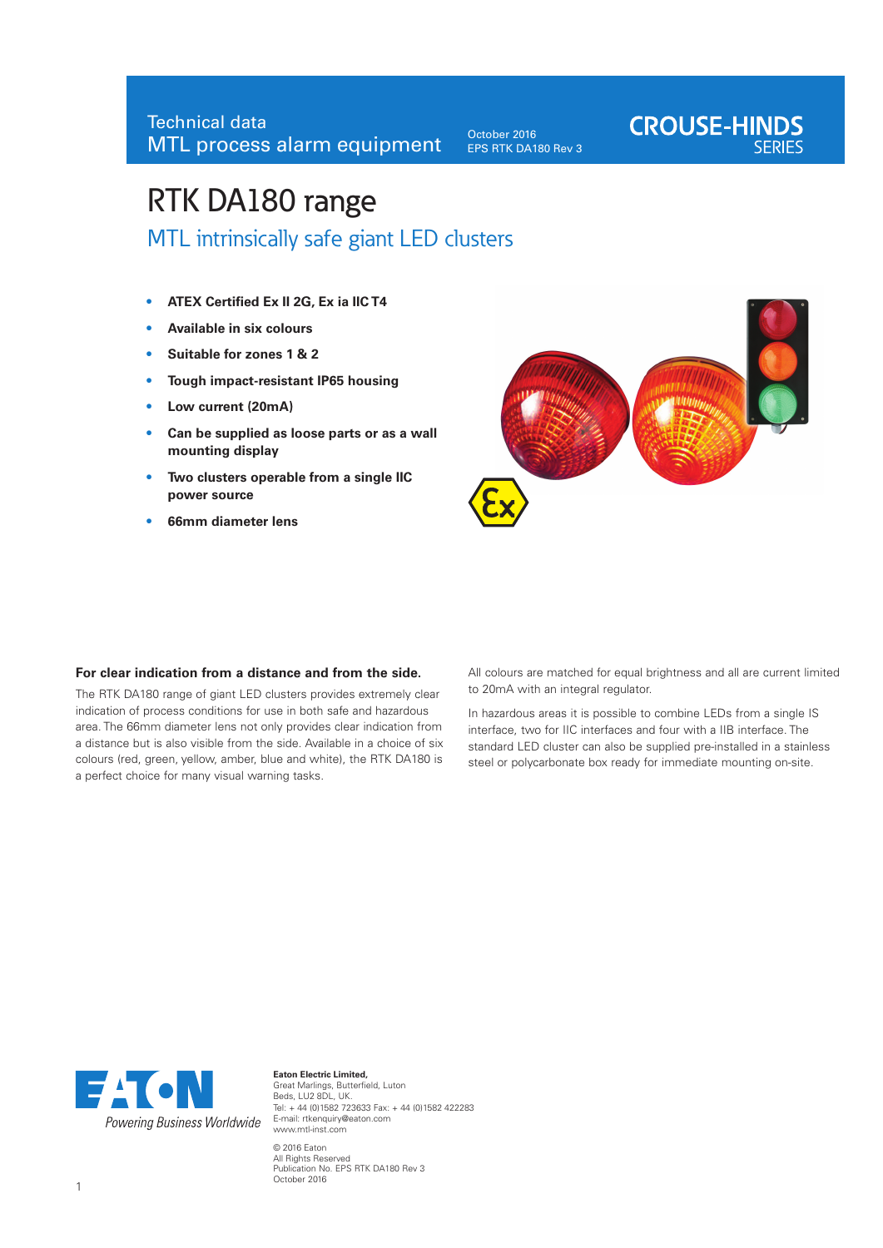October 2016 EPS RTK DA180 Rev 3

# **CROUSE-HINDS**

## RTK DA180 range

MTL intrinsically safe giant LED clusters

- **• ATEX Certified Ex II 2G, Ex ia IIC T4**
- **• Available in six colours**
- **Suitable for zones 1 & 2**
- **• Tough impact-resistant IP65 housing**
- **• Low current (20mA)**
- **• Can be supplied as loose parts or as a wall mounting display**
- **• Two clusters operable from a single IIC power source**
- **• 66mm diameter lens**



#### **For clear indication from a distance and from the side.**

The RTK DA180 range of giant LED clusters provides extremely clear indication of process conditions for use in both safe and hazardous area. The 66mm diameter lens not only provides clear indication from a distance but is also visible from the side. Available in a choice of six colours (red, green, yellow, amber, blue and white), the RTK DA180 is a perfect choice for many visual warning tasks.

All colours are matched for equal brightness and all are current limited to 20mA with an integral regulator.

In hazardous areas it is possible to combine LEDs from a single IS interface, two for IIC interfaces and four with a IIB interface. The standard LED cluster can also be supplied pre-installed in a stainless steel or polycarbonate box ready for immediate mounting on-site.



**Eaton Electric Limited,**  Great Marlings, Butterfield, Luton Beds, LU2 8DL, UK. Tel: + 44 (0)1582 723633 Fax: + 44 (0)1582 422283 E-mail: rtkenquiry@eaton.com www.mtl-inst.com © 2016 Eaton All Rights Reserved Publication No. EPS RTK DA180 Rev 3